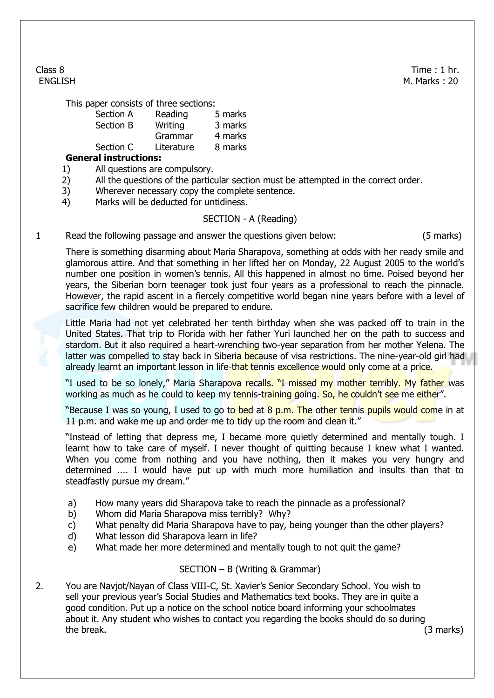Class 8 Time : 1 hr. ENGLISH M. Marks : 20

This paper consists of three sections:

| Section A | Reading    | 5 marks |
|-----------|------------|---------|
| Section B | Writing    | 3 marks |
|           | Grammar    | 4 marks |
| Section C | Literature | 8 marks |
|           |            |         |

## **General instructions:**

- 1) All questions are compulsory.
- 2) All the questions of the particular section must be attempted in the correct order.
- 3) Wherever necessary copy the complete sentence.
- 4) Marks will be deducted for untidiness.

## SECTION - A (Reading)

1 Read the following passage and answer the questions given below: (5 marks)

There is something disarming about Maria Sharapova, something at odds with her ready smile and glamorous attire. And that something in her lifted her on Monday, 22 August 2005 to the world's number one position in women's tennis. All this happened in almost no time. Poised beyond her years, the Siberian born teenager took just four years as a professional to reach the pinnacle. However, the rapid ascent in a fiercely competitive world began nine years before with a level of sacrifice few children would be prepared to endure.

Little Maria had not yet celebrated her tenth birthday when she was packed off to train in the United States. That trip to Florida with her father Yuri launched her on the path to success and stardom. But it also required a heart-wrenching two-year separation from her mother Yelena. The latter was compelled to stay back in Siberia because of visa restrictions. The nine-year-old girl had already learnt an important lesson in life-that tennis excellence would only come at a price.

"I used to be so lonely," Maria Sharapova recalls. "I missed my mother terribly. My father was working as much as he could to keep my tennis-training going. So, he couldn't see me either".

"Because I was so young, I used to go to bed at 8 p.m. The other tennis pupils would come in at 11 p.m. and wake me up and order me to tidy up the room and clean it."

"Instead of letting that depress me, I became more quietly determined and mentally tough. I learnt how to take care of myself. I never thought of quitting because I knew what I wanted. When you come from nothing and you have nothing, then it makes you very hungry and determined .... I would have put up with much more humiliation and insults than that to steadfastly pursue my dream."

- a) How many years did Sharapova take to reach the pinnacle as a professional?
- b) Whom did Maria Sharapova miss terribly? Why?
- c) What penalty did Maria Sharapova have to pay, being younger than the other players?
- d) What lesson did Sharapova learn in life?
- e) What made her more determined and mentally tough to not quit the game?

## SECTION – B (Writing & Grammar)

2. You are Navjot/Nayan of Class VIII-C, St. Xavier's Senior Secondary School. You wish to sell your previous year's Social Studies and Mathematics text books. They are in quite a good condition. Put up a notice on the school notice board informing your schoolmates about it. Any student who wishes to contact you regarding the books should do so during the break. (3 marks)